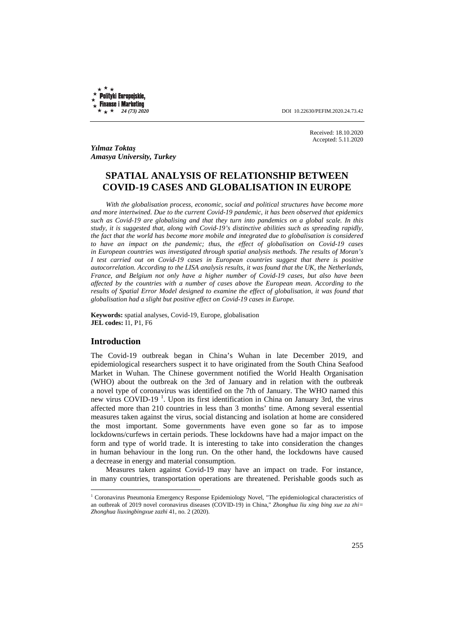Polityki Europejskie, **Finanse i Marketing**  $\star$  \*

 *24 (73) 2020* DOI 10.22630/PEFIM.2020.24.73.42

Received: 18.10.2020 Accepted: 5.11.2020

*Yılmaz Toktaş Amasya University, Turkey* 

# **SPATIAL ANALYSIS OF RELATIONSHIP BETWEEN COVID-19 CASES AND GLOBALISATION IN EUROPE**

*With the globalisation process, economic, social and political structures have become more and more intertwined. Due to the current Covid-19 pandemic, it has been observed that epidemics such as Covid-19 are globalising and that they turn into pandemics on a global scale. In this study, it is suggested that, along with Covid-19's distinctive abilities such as spreading rapidly, the fact that the world has become more mobile and integrated due to globalisation is considered to have an impact on the pandemic; thus, the effect of globalisation on Covid-19 cases in European countries was investigated through spatial analysis methods. The results of Moran's I test carried out on Covid-19 cases in European countries suggest that there is positive autocorrelation. According to the LISA analysis results, it was found that the UK, the Netherlands, France, and Belgium not only have a higher number of Covid-19 cases, but also have been affected by the countries with a number of cases above the European mean. According to the results of Spatial Error Model designed to examine the effect of globalisation, it was found that globalisation had a slight but positive effect on Covid-19 cases in Europe.* 

**Keywords:** spatial analyses, Covid-19, Europe, globalisation **JEL codes:** I1, P1, F6

## **Introduction**

 $\overline{a}$ 

The Covid-19 outbreak began in China's Wuhan in late December 2019, and epidemiological researchers suspect it to have originated from the South China Seafood Market in Wuhan. The Chinese government notified the World Health Organisation (WHO) about the outbreak on the 3rd of January and in relation with the outbreak a novel type of coronavirus was identified on the 7th of January. The WHO named this new virus COVID-19<sup>1</sup>. Upon its first identification in China on January 3rd, the virus affected more than 210 countries in less than 3 months' time. Among several essential measures taken against the virus, social distancing and isolation at home are considered the most important. Some governments have even gone so far as to impose lockdowns/curfews in certain periods. These lockdowns have had a major impact on the form and type of world trade. It is interesting to take into consideration the changes in human behaviour in the long run. On the other hand, the lockdowns have caused a decrease in energy and material consumption.

Measures taken against Covid-19 may have an impact on trade. For instance, in many countries, transportation operations are threatened. Perishable goods such as

<sup>&</sup>lt;sup>1</sup> Coronavirus Pneumonia Emergency Response Epidemiology Novel, "The epidemiological characteristics of an outbreak of 2019 novel coronavirus diseases (COVID-19) in China," *Zhonghua liu xing bing xue za zhi= Zhonghua liuxingbingxue zazhi* 41, no. 2 (2020).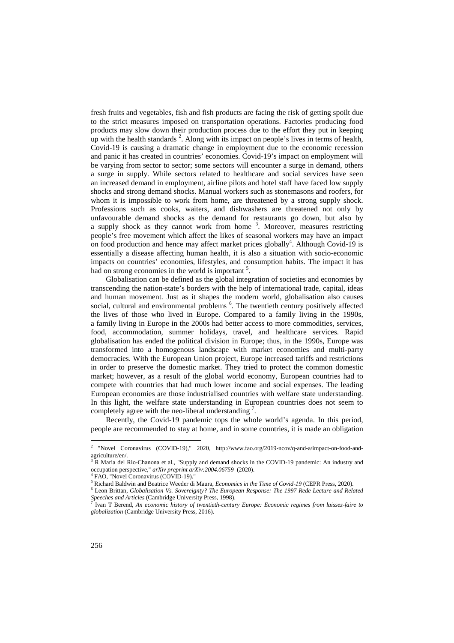fresh fruits and vegetables, fish and fish products are facing the risk of getting spoilt due to the strict measures imposed on transportation operations. Factories producing food products may slow down their production process due to the effort they put in keeping up with the health standards  $2$ . Along with its impact on people's lives in terms of health, Covid-19 is causing a dramatic change in employment due to the economic recession and panic it has created in countries' economies. Covid-19's impact on employment will be varying from sector to sector; some sectors will encounter a surge in demand, others a surge in supply. While sectors related to healthcare and social services have seen an increased demand in employment, airline pilots and hotel staff have faced low supply shocks and strong demand shocks. Manual workers such as stonemasons and roofers, for whom it is impossible to work from home, are threatened by a strong supply shock. Professions such as cooks, waiters, and dishwashers are threatened not only by unfavourable demand shocks as the demand for restaurants go down, but also by a supply shock as they cannot work from home  $3$ . Moreover, measures restricting people's free movement which affect the likes of seasonal workers may have an impact on food production and hence may affect market prices globally<sup>4</sup>. Although Covid-19 is essentially a disease affecting human health, it is also a situation with socio-economic impacts on countries' economies, lifestyles, and consumption habits. The impact it has had on strong economies in the world is important<sup>5</sup>.

Globalisation can be defined as the global integration of societies and economies by transcending the nation-state's borders with the help of international trade, capital, ideas and human movement. Just as it shapes the modern world, globalisation also causes social, cultural and environmental problems <sup>6</sup>. The twentieth century positively affected the lives of those who lived in Europe. Compared to a family living in the 1990s, a family living in Europe in the 2000s had better access to more commodities, services, food, accommodation, summer holidays, travel, and healthcare services. Rapid globalisation has ended the political division in Europe; thus, in the 1990s, Europe was transformed into a homogenous landscape with market economies and multi-party democracies. With the European Union project, Europe increased tariffs and restrictions in order to preserve the domestic market. They tried to protect the common domestic market; however, as a result of the global world economy, European countries had to compete with countries that had much lower income and social expenses. The leading European economies are those industrialised countries with welfare state understanding. In this light, the welfare state understanding in European countries does not seem to completely agree with the neo-liberal understanding<sup>7</sup>.

Recently, the Covid-19 pandemic tops the whole world's agenda. In this period, people are recommended to stay at home, and in some countries, it is made an obligation

 2 "Novel Coronavirus (COVID-19)," 2020, http://www.fao.org/2019-ncov/q-and-a/impact-on-food-andagriculture/en/.

<sup>&</sup>lt;sup>3</sup> R Maria del Rio-Chanona et al., "Supply and demand shocks in the COVID-19 pandemic: An industry and occupation perspective," *arXiv preprint arXiv:2004.06759* (2020).<br><sup>4</sup> EAO, "Novel Coronavirus (COVID-10)."

FAO, "Novel Coronavirus (COVID-19)."

<sup>5</sup> Richard Baldwin and Beatrice Weeder di Maura, *Economics in the Time of Covid-19* (CEPR Press, 2020).

<sup>6</sup> Leon Brittan, *Globalisation Vs. Sovereignty? The European Response: The 1997 Rede Lecture and Related Speeches and Articles* (Cambridge University Press, 1998).<br><sup>7</sup> Jyan T. Berend, An economic history of twartigth contum

Ivan T Berend, *An economic history of twentieth-century Europe: Economic regimes from laissez-faire to globalization* (Cambridge University Press, 2016).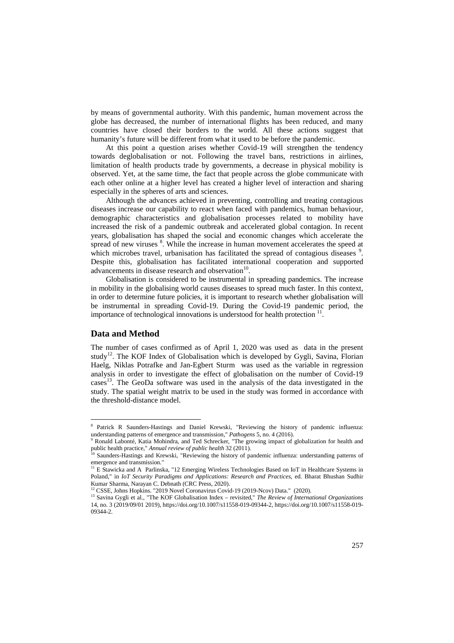by means of governmental authority. With this pandemic, human movement across the globe has decreased, the number of international flights has been reduced, and many countries have closed their borders to the world. All these actions suggest that humanity's future will be different from what it used to be before the pandemic.

At this point a question arises whether Covid-19 will strengthen the tendency towards deglobalisation or not. Following the travel bans, restrictions in airlines, limitation of health products trade by governments, a decrease in physical mobility is observed. Yet, at the same time, the fact that people across the globe communicate with each other online at a higher level has created a higher level of interaction and sharing especially in the spheres of arts and sciences.

Although the advances achieved in preventing, controlling and treating contagious diseases increase our capability to react when faced with pandemics, human behaviour, demographic characteristics and globalisation processes related to mobility have increased the risk of a pandemic outbreak and accelerated global contagion. In recent years, globalisation has shaped the social and economic changes which accelerate the spread of new viruses <sup>8</sup>. While the increase in human movement accelerates the speed at which microbes travel, urbanisation has facilitated the spread of contagious diseases <sup>9</sup>. Despite this, globalisation has facilitated international cooperation and supported advancements in disease research and observation<sup>10</sup>.

Globalisation is considered to be instrumental in spreading pandemics. The increase in mobility in the globalising world causes diseases to spread much faster. In this context, in order to determine future policies, it is important to research whether globalisation will be instrumental in spreading Covid-19. During the Covid-19 pandemic period, the importance of technological innovations is understood for health protection  $11$ .

## **Data and Method**

The number of cases confirmed as of April 1, 2020 was used as data in the present study<sup>12</sup>. The KOF Index of Globalisation which is developed by Gygli, Savina, Florian Haelg, Niklas Potrafke and Jan-Egbert Sturm was used as the variable in regression analysis in order to investigate the effect of globalisation on the number of Covid-19 cases<sup>13</sup>. The GeoDa software was used in the analysis of the data investigated in the study. The spatial weight matrix to be used in the study was formed in accordance with the threshold-distance model.

<sup>&</sup>lt;sup>8</sup> Patrick R Saunders-Hastings and Daniel Krewski, "Reviewing the history of pandemic influenza: understanding patterns of emergence and transmission," *Pathogens* 5, no. 4 (2016).

<sup>9</sup> Ronald Labonté, Katia Mohindra, and Ted Schrecker, "The growing impact of globalization for health and public health practice," *Annual review of public health* 32 (2011).

<sup>10</sup> Saunders-Hastings and Krewski, "Reviewing the history of pandemic influenza: understanding patterns of emergence and transmission."

<sup>&</sup>lt;sup>11</sup> E Stawicka and A Parlinska, "12 Emerging Wireless Technologies Based on IoT in Healthcare Systems in Poland," in *IoT Security Paradigms and Applications: Research and Practices*, ed. Bharat Bhushan Sudhir Kumar Sharma, Narayan C. Debnath (CRC Press, 2020).

<sup>&</sup>lt;sup>12</sup> CSSE, Johns Hopkins. "2019 Novel Coronavirus Covid-19 (2019-Ncov) Data." (2020).

<sup>&</sup>lt;sup>13</sup> Savina Gygli et al., "The KOF Globalisation Index – revisited," The Review of International Organizations 14, no. 3 (2019/09/01 2019), https://doi.org/10.1007/s11558-019-09344-2, https://doi.org/10.1007/s11558-019- 09344-2.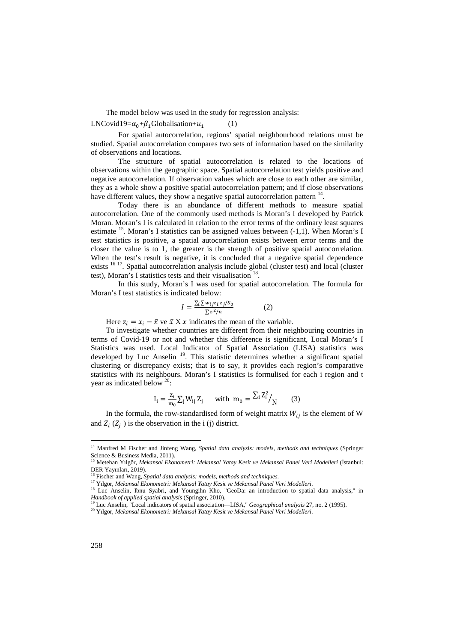The model below was used in the study for regression analysis:

LNCovid19= $\alpha_0 + \beta_1$ Globalisation+ $u_1$ 

For spatial autocorrelation, regions' spatial neighbourhood relations must be studied. Spatial autocorrelation compares two sets of information based on the similarity of observations and locations.

(1)

The structure of spatial autocorrelation is related to the locations of observations within the geographic space. Spatial autocorrelation test yields positive and negative autocorrelation. If observation values which are close to each other are similar, they as a whole show a positive spatial autocorrelation pattern; and if close observations have different values, they show a negative spatial autocorrelation pattern  $14$ .

Today there is an abundance of different methods to measure spatial autocorrelation. One of the commonly used methods is Moran's I developed by Patrick Moran. Moran's I is calculated in relation to the error terms of the ordinary least squares estimate  $^{15}$ . Moran's I statistics can be assigned values between (-1,1). When Moran's I test statistics is positive, a spatial autocorrelation exists between error terms and the closer the value is to 1, the greater is the strength of positive spatial autocorrelation. When the test's result is negative, it is concluded that a negative spatial dependence exists <sup>16 17</sup>. Spatial autocorrelation analysis include global (cluster test) and local (cluster test), Moran's I statistics tests and their visualisation  $^{18}$ .

In this study, Moran's I was used for spatial autocorrelation. The formula for Moran's I test statistics is indicated below:

$$
I = \frac{\sum_{i} \sum w_{ij} z_{i} z_{j} / S_{0}}{\sum z^{2} / n}
$$
 (2)

Here  $z_i = x_i - \bar{x}$  ve  $\bar{x}$  X  $\bar{x}$  indicates the mean of the variable.

To investigate whether countries are different from their neighbouring countries in terms of Covid-19 or not and whether this difference is significant, Local Moran's I Statistics was used. Local Indicator of Spatial Association (LISA) statistics was developed by Luc Anselin  $19$ . This statistic determines whether a significant spatial clustering or discrepancy exists; that is to say, it provides each region's comparative statistics with its neighbours. Moran's I statistics is formulised for each i region and t year as indicated below <sup>20</sup>:

$$
I_i = \frac{z_i}{m_0} \sum_j W_{ij} Z_j \quad \text{ with } m_0 = \frac{\sum_i Z_i^2}{N} \tag{3}
$$

In the formula, the row-standardised form of weight matrix  $W_{ii}$  is the element of W and  $Z_i$  ( $Z_j$ ) is the observation in the i (j) district.

 $\overline{a}$ 

<sup>14</sup> Manfred M Fischer and Jinfeng Wang, *Spatial data analysis: models, methods and techniques* (Springer Science & Business Media, 2011).

<sup>15</sup> Metehan Yılgör, *Mekansal Ekonometri: Mekansal Yatay Kesit ve Mekansal Panel Veri Modelleri* (İstanbul: DER Yayınları, 2019).

<sup>16</sup> Fischer and Wang, *Spatial data analysis: models, methods and techniques*.

<sup>17</sup> Yılgör, *Mekansal Ekonometri: Mekansal Yatay Kesit ve Mekansal Panel Veri Modelleri*.

<sup>&</sup>lt;sup>18</sup> Luc Anselin, Ibnu Syabri, and Youngihn Kho, "GeoDa: an introduction to spatial data analysis," in *Handbook of applied spatial analysis* (Springer, 2010).

<sup>19</sup> Luc Anselin, "Local indicators of spatial association—LISA," *Geographical analysis* 27, no. 2 (1995).

<sup>20</sup> Yılgör, *Mekansal Ekonometri: Mekansal Yatay Kesit ve Mekansal Panel Veri Modelleri*.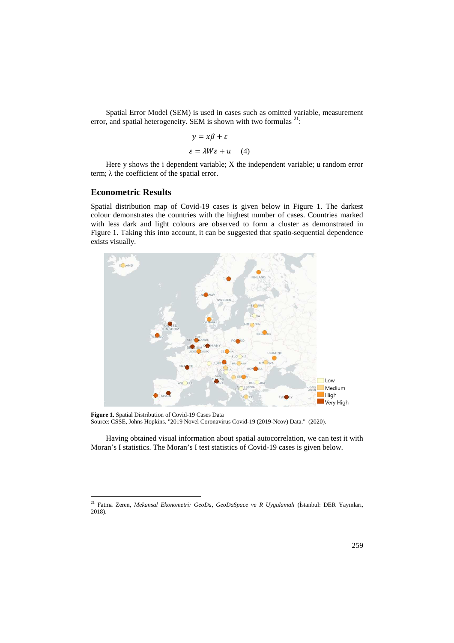Spatial Error Model (SEM) is used in cases such as omitted variable, measurement error, and spatial heterogeneity. SEM is shown with two formulas  $21$ :

$$
y = x\beta + \varepsilon
$$

$$
\varepsilon = \lambda W\varepsilon + u \quad (4)
$$

Here y shows the i dependent variable; X the independent variable; u random error term;  $\lambda$  the coefficient of the spatial error.

### **Econometric Results**

 $\overline{a}$ 

Spatial distribution map of Covid-19 cases is given below in Figure 1. The darkest colour demonstrates the countries with the highest number of cases. Countries marked with less dark and light colours are observed to form a cluster as demonstrated in Figure 1. Taking this into account, it can be suggested that spatio-sequential dependence exists visually.



**Figure 1.** Spatial Distribution of Covid-19 Cases Data Source: CSSE, Johns Hopkins. "2019 Novel Coronavirus Covid-19 (2019-Ncov) Data." (2020).

Having obtained visual information about spatial autocorrelation, we can test it with Moran's I statistics. The Moran's I test statistics of Covid-19 cases is given below.

<sup>21</sup> Fatma Zeren, *Mekansal Ekonometri: GeoDa, GeoDaSpace ve R Uygulamalı* (İstanbul: DER Yayınları, 2018).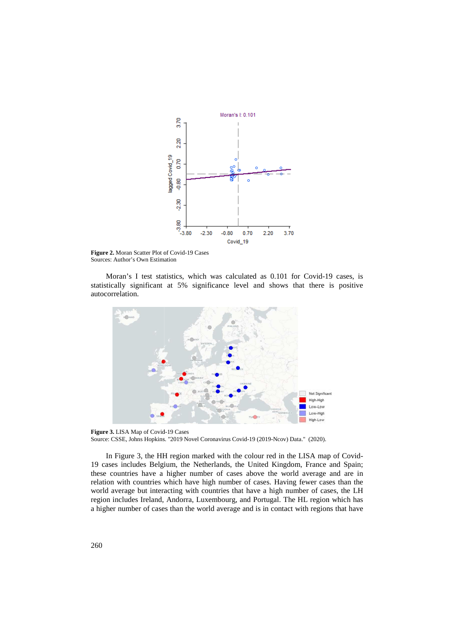

Figure 2. Moran Scatter Plot of Covid-19 Cases Sources: Author's Own Estimation

Moran's I test statistics, which was calculated as 0.101 for Covid-19 cases, is statistically significant at 5% significance level and shows that there is positive autocorrelation.



Figure 3. LISA Map of Covid-19 Cases Source: CSSE, Johns Hopkins. "2019 Novel Coronavirus Covid-19 (2019-Ncov) Data." (2020).

In Figure 3, the HH region marked with the colour red in the LISA map of Covid 19 cases includes Belgium, the Netherlands, the United Kingdom, France and Spain; these countries have a higher number of cases above the world average and are in relation with countries which have high number of cases. Having fewer cases than the these countries have a higher number of cases above the world average and are in relation with countries which have high number of cases. Having fewer cases than the world average but interacting with countries that have a region includes Ireland, Andorra, Luxembourg, and Portugal. The HL region which has a higher number of cases than the world average and is in contact with regions that have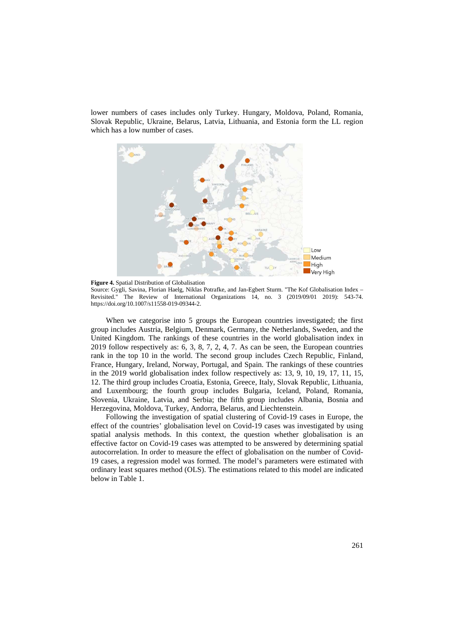lower numbers of cases includes only Turkey. Hungary, Moldova, Poland, Romania, Slovak Republic, Ukraine, Belarus, Latvia, Lithuania, and Estonia form the LL region which has a low number of cases.



**Figure 4.** Spatial Distribution of Globalisation Source: Gygli, Savina, Florian Haelg, Niklas Potrafke, and Jan-Egbert Sturm. "The Kof Globalisation Index – Revisited." The Review of International Organizations 14, no. 3 (2019/09/01 2019): 543-74. https://doi.org/10.1007/s11558-019-09344-2.

When we categorise into 5 groups the European countries investigated; the first group includes Austria, Belgium, Denmark, Germany, the Netherlands, Sweden, and the United Kingdom. The rankings of these countries in the world globalisation index in 2019 follow respectively as: 6, 3, 8, 7, 2, 4, 7. As can be seen, the European countries rank in the top 10 in the world. The second group includes Czech Republic, Finland, France, Hungary, Ireland, Norway, Portugal, and Spain. The rankings of these countries in the 2019 world globalisation index follow respectively as: 13, 9, 10, 19, 17, 11, 15, 12. The third group includes Croatia, Estonia, Greece, Italy, Slovak Republic, Lithuania, and Luxembourg; the fourth group includes Bulgaria, Iceland, Poland, Romania, Slovenia, Ukraine, Latvia, and Serbia; the fifth group includes Albania, Bosnia and Herzegovina, Moldova, Turkey, Andorra, Belarus, and Liechtenstein.

Following the investigation of spatial clustering of Covid-19 cases in Europe, the effect of the countries' globalisation level on Covid-19 cases was investigated by using spatial analysis methods. In this context, the question whether globalisation is an effective factor on Covid-19 cases was attempted to be answered by determining spatial autocorrelation. In order to measure the effect of globalisation on the number of Covid-19 cases, a regression model was formed. The model's parameters were estimated with ordinary least squares method (OLS). The estimations related to this model are indicated below in Table 1.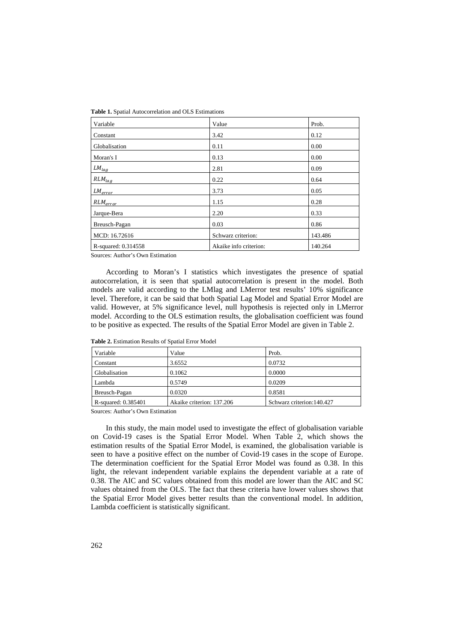| Table 1. Spatial Autocorrelation and OLS Estimations |
|------------------------------------------------------|
|------------------------------------------------------|

| Variable            | Value                  | Prob.   |
|---------------------|------------------------|---------|
| Constant            | 3.42                   | 0.12    |
| Globalisation       | 0.11                   | 0.00    |
| Moran's I           | 0.13                   | 0.00    |
| $LM_{lag}$          | 2.81                   | 0.09    |
| $RLM_{lag}$         | 0.22                   | 0.64    |
| $LM_{error}$        | 3.73                   | 0.05    |
| $RLM_{error}$       | 1.15                   | 0.28    |
| Jarque-Bera         | 2.20                   | 0.33    |
| Breusch-Pagan       | 0.03                   | 0.86    |
| MCD: 16.72616       | Schwarz criterion:     | 143.486 |
| R-squared: 0.314558 | Akaike info criterion: | 140.264 |

Sources: Author's Own Estimation

According to Moran's I statistics which investigates the presence of spatial autocorrelation, it is seen that spatial autocorrelation is present in the model. Both models are valid according to the LMlag and LMerror test results' 10% significance level. Therefore, it can be said that both Spatial Lag Model and Spatial Error Model are valid. However, at 5% significance level, null hypothesis is rejected only in LMerror model. According to the OLS estimation results, the globalisation coefficient was found to be positive as expected. The results of the Spatial Error Model are given in Table 2.

| Variable            | Value                     | Prob.                      |
|---------------------|---------------------------|----------------------------|
| Constant            | 3.6552                    | 0.0732                     |
| Globalisation       | 0.1062                    | 0.0000                     |
| Lambda              | 0.5749                    | 0.0209                     |
| Breusch-Pagan       | 0.0320                    | 0.8581                     |
| R-squared: 0.385401 | Akaike criterion: 137.206 | Schwarz criterion: 140.427 |

**Table 2.** Estimation Results of Spatial Error Model

Sources: Author's Own Estimation

In this study, the main model used to investigate the effect of globalisation variable on Covid-19 cases is the Spatial Error Model. When Table 2, which shows the estimation results of the Spatial Error Model, is examined, the globalisation variable is seen to have a positive effect on the number of Covid-19 cases in the scope of Europe. The determination coefficient for the Spatial Error Model was found as 0.38. In this light, the relevant independent variable explains the dependent variable at a rate of 0.38. The AIC and SC values obtained from this model are lower than the AIC and SC values obtained from the OLS. The fact that these criteria have lower values shows that the Spatial Error Model gives better results than the conventional model. In addition, Lambda coefficient is statistically significant.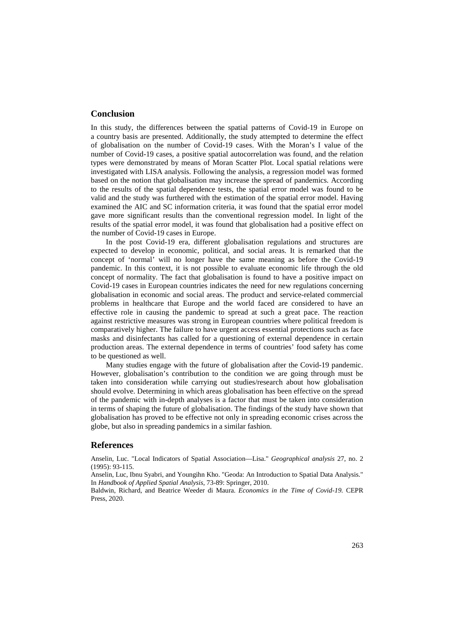## **Conclusion**

In this study, the differences between the spatial patterns of Covid-19 in Europe on a country basis are presented. Additionally, the study attempted to determine the effect of globalisation on the number of Covid-19 cases. With the Moran's I value of the number of Covid-19 cases, a positive spatial autocorrelation was found, and the relation types were demonstrated by means of Moran Scatter Plot. Local spatial relations were investigated with LISA analysis. Following the analysis, a regression model was formed based on the notion that globalisation may increase the spread of pandemics. According to the results of the spatial dependence tests, the spatial error model was found to be valid and the study was furthered with the estimation of the spatial error model. Having examined the AIC and SC information criteria, it was found that the spatial error model gave more significant results than the conventional regression model. In light of the results of the spatial error model, it was found that globalisation had a positive effect on the number of Covid-19 cases in Europe.

In the post Covid-19 era, different globalisation regulations and structures are expected to develop in economic, political, and social areas. It is remarked that the concept of 'normal' will no longer have the same meaning as before the Covid-19 pandemic. In this context, it is not possible to evaluate economic life through the old concept of normality. The fact that globalisation is found to have a positive impact on Covid-19 cases in European countries indicates the need for new regulations concerning globalisation in economic and social areas. The product and service-related commercial problems in healthcare that Europe and the world faced are considered to have an effective role in causing the pandemic to spread at such a great pace. The reaction against restrictive measures was strong in European countries where political freedom is comparatively higher. The failure to have urgent access essential protections such as face masks and disinfectants has called for a questioning of external dependence in certain production areas. The external dependence in terms of countries' food safety has come to be questioned as well.

Many studies engage with the future of globalisation after the Covid-19 pandemic. However, globalisation's contribution to the condition we are going through must be taken into consideration while carrying out studies/research about how globalisation should evolve. Determining in which areas globalisation has been effective on the spread of the pandemic with in-depth analyses is a factor that must be taken into consideration in terms of shaping the future of globalisation. The findings of the study have shown that globalisation has proved to be effective not only in spreading economic crises across the globe, but also in spreading pandemics in a similar fashion.

#### **References**

Anselin, Luc. "Local Indicators of Spatial Association—Lisa." *Geographical analysis* 27, no. 2 (1995): 93-115.

Anselin, Luc, Ibnu Syabri, and Youngihn Kho. "Geoda: An Introduction to Spatial Data Analysis." In *Handbook of Applied Spatial Analysis*, 73-89: Springer, 2010.

Baldwin, Richard, and Beatrice Weeder di Maura. *Economics in the Time of Covid-19.* CEPR Press, 2020.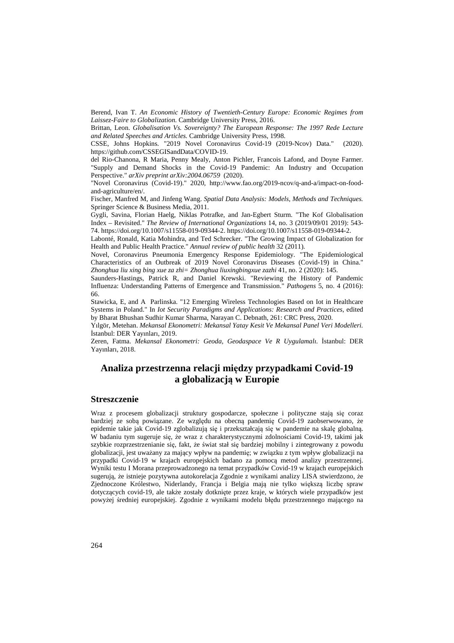Berend, Ivan T. *An Economic History of Twentieth-Century Europe: Economic Regimes from Laissez-Faire to Globalization.* Cambridge University Press, 2016.

Brittan, Leon. *Globalisation Vs. Sovereignty? The European Response: The 1997 Rede Lecture and Related Speeches and Articles.* Cambridge University Press, 1998.

CSSE, Johns Hopkins. "2019 Novel Coronavirus Covid-19 (2019-Ncov) Data." (2020). https://github.com/CSSEGISandData/COVID-19.

del Rio-Chanona, R Maria, Penny Mealy, Anton Pichler, Francois Lafond, and Doyne Farmer. "Supply and Demand Shocks in the Covid-19 Pandemic: An Industry and Occupation Perspective." *arXiv preprint arXiv:2004.06759* (2020).

"Novel Coronavirus (Covid-19)." 2020, http://www.fao.org/2019-ncov/q-and-a/impact-on-foodand-agriculture/en/.

Fischer, Manfred M, and Jinfeng Wang. *Spatial Data Analysis: Models, Methods and Techniques.* Springer Science & Business Media, 2011.

Gygli, Savina, Florian Haelg, Niklas Potrafke, and Jan-Egbert Sturm. "The Kof Globalisation Index – Revisited." *The Review of International Organizations* 14, no. 3 (2019/09/01 2019): 543- 74. https://doi.org/10.1007/s11558-019-09344-2. https://doi.org/10.1007/s11558-019-09344-2.

Labonté, Ronald, Katia Mohindra, and Ted Schrecker. "The Growing Impact of Globalization for Health and Public Health Practice." *Annual review of public health* 32 (2011).

Novel, Coronavirus Pneumonia Emergency Response Epidemiology. "The Epidemiological Characteristics of an Outbreak of 2019 Novel Coronavirus Diseases (Covid-19) in China." *Zhonghua liu xing bing xue za zhi= Zhonghua liuxingbingxue zazhi* 41, no. 2 (2020): 145.

Saunders-Hastings, Patrick R, and Daniel Krewski. "Reviewing the History of Pandemic Influenza: Understanding Patterns of Emergence and Transmission." *Pathogens* 5, no. 4 (2016): 66.

Stawicka, E, and A Parlinska. "12 Emerging Wireless Technologies Based on Iot in Healthcare Systems in Poland." In *Iot Security Paradigms and Applications: Research and Practices*, edited by Bharat Bhushan Sudhir Kumar Sharma, Narayan C. Debnath, 261: CRC Press, 2020.

Yılgör, Metehan. *Mekansal Ekonometri: Mekansal Yatay Kesit Ve Mekansal Panel Veri Modelleri.* İstanbul: DER Yayınları, 2019.

Zeren, Fatma. *Mekansal Ekonometri: Geoda, Geodaspace Ve R Uygulamalı.* İstanbul: DER Yayınları, 2018.

# **Analiza przestrzenna relacji między przypadkami Covid-19 a globalizacją w Europie**

### **Streszczenie**

Wraz z procesem globalizacji struktury gospodarcze, społeczne i polityczne stają się coraz bardziej ze sobą powiązane. Ze względu na obecną pandemię Covid-19 zaobserwowano, że epidemie takie jak Covid-19 zglobalizują się i przekształcają się w pandemie na skalę globalną. W badaniu tym sugeruje się, że wraz z charakterystycznymi zdolnościami Covid-19, takimi jak szybkie rozprzestrzenianie się, fakt, że świat stał się bardziej mobilny i zintegrowany z powodu globalizacji, jest uważany za mający wpływ na pandemię; w związku z tym wpływ globalizacji na przypadki Covid-19 w krajach europejskich badano za pomocą metod analizy przestrzennej. Wyniki testu I Morana przeprowadzonego na temat przypadków Covid-19 w krajach europejskich sugerują, że istnieje pozytywna autokorelacja Zgodnie z wynikami analizy LISA stwierdzono, że Zjednoczone Królestwo, Niderlandy, Francja i Belgia mają nie tylko większą liczbę spraw dotyczących covid-19, ale także zostały dotknięte przez kraje, w których wiele przypadków jest powyżej średniej europejskiej. Zgodnie z wynikami modelu błędu przestrzennego mającego na